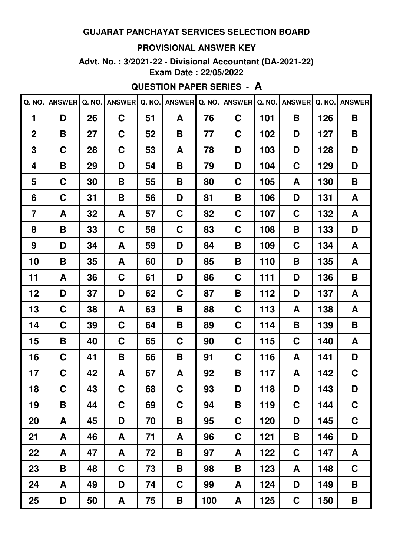#### **PROVISIONAL ANSWER KEY**

**Advt. No. : 3/2021-22 - Divisional Accountant (DA-2021-22) Exam Date : 22/05/2022**

## **QUESTION PAPER SERIES - A**

| Q. NO.         | <b>ANSWER</b> | Q. NO. | <b>ANSWER</b> | Q. NO. | <b>ANSWER</b> | Q. NO. | <b>ANSWER</b> | Q. NO. | <b>ANSWER</b> | Q. NO. | <b>ANSWER</b> |
|----------------|---------------|--------|---------------|--------|---------------|--------|---------------|--------|---------------|--------|---------------|
| 1              | D             | 26     | $\mathbf C$   | 51     | A             | 76     | C             | 101    | B             | 126    | B             |
| $\mathbf 2$    | B             | 27     | $\mathbf C$   | 52     | B             | 77     | C             | 102    | D             | 127    | B             |
| 3              | C             | 28     | C             | 53     | A             | 78     | D             | 103    | D             | 128    | D             |
| 4              | B             | 29     | D             | 54     | B             | 79     | D             | 104    | C             | 129    | D             |
| 5              | C             | 30     | B             | 55     | B             | 80     | C             | 105    | A             | 130    | B             |
| 6              | C             | 31     | B             | 56     | D             | 81     | B             | 106    | D             | 131    | A             |
| $\overline{7}$ | A             | 32     | A             | 57     | C             | 82     | C             | 107    | C             | 132    | A             |
| 8              | B             | 33     | C             | 58     | C             | 83     | C             | 108    | B             | 133    | D             |
| 9              | D             | 34     | A             | 59     | D             | 84     | B             | 109    | C             | 134    | A             |
| 10             | B             | 35     | A             | 60     | D             | 85     | B             | 110    | B             | 135    | A             |
| 11             | A             | 36     | C             | 61     | D             | 86     | C             | 111    | D             | 136    | B             |
| 12             | D             | 37     | D             | 62     | C             | 87     | Β             | 112    | D             | 137    | A             |
| 13             | C             | 38     | A             | 63     | Β             | 88     | C             | 113    | A             | 138    | A             |
| 14             | C             | 39     | $\mathbf C$   | 64     | B             | 89     | C             | 114    | B             | 139    | B             |
| 15             | B             | 40     | C             | 65     | C             | 90     | C             | 115    | C             | 140    | A             |
| 16             | C             | 41     | B             | 66     | B             | 91     | C             | 116    | A             | 141    | D             |
| 17             | C             | 42     | A             | 67     | A             | 92     | Β             | 117    | A             | 142    | C             |
| 18             | $\mathbf C$   | 43     | $\mathbf C$   | 68     | $\mathbf C$   | 93     | D             | 118    | D             | 143    | D             |
| 19             | B             | 44     | $\mathbf C$   | 69     | C             | 94     | B             | 119    | $\mathbf C$   | 144    | $\mathbf C$   |
| 20             | A             | 45     | D             | 70     | Β             | 95     | C             | 120    | D             | 145    | $\mathbf C$   |
| 21             | A             | 46     | A             | 71     | A             | 96     | $\mathbf C$   | 121    | B             | 146    | D             |
| 22             | A             | 47     | A             | 72     | B             | 97     | A             | 122    | $\mathbf C$   | 147    | A             |
| 23             | B             | 48     | $\mathbf C$   | 73     | B             | 98     | Β             | 123    | A             | 148    | $\mathbf C$   |
| 24             | A             | 49     | D             | 74     | $\mathbf C$   | 99     | A             | 124    | D             | 149    | B             |
| 25             | D             | 50     | A             | 75     | B             | 100    | A             | 125    | $\mathbf C$   | 150    | Β             |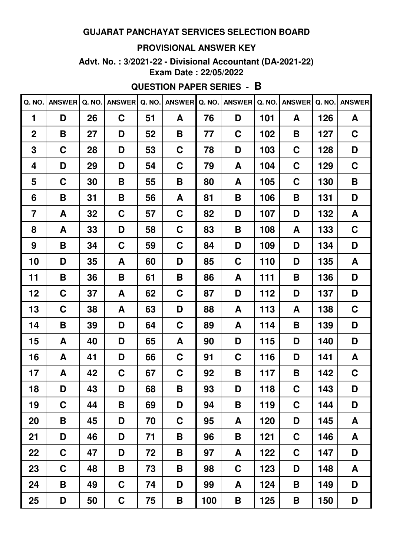#### **PROVISIONAL ANSWER KEY**

**Advt. No. : 3/2021-22 - Divisional Accountant (DA-2021-22) Exam Date : 22/05/2022**

# **QUESTION PAPER SERIES - B**

| Q. NO.         | <b>ANSWER</b> | Q. NO. | <b>ANSWER</b> | Q. NO. | <b>ANSWER</b> | Q. NO. | <b>ANSWER</b> | Q. NO. | <b>ANSWER</b> | Q. NO. | <b>ANSWER</b> |
|----------------|---------------|--------|---------------|--------|---------------|--------|---------------|--------|---------------|--------|---------------|
| 1              | D             | 26     | C             | 51     | A             | 76     | D             | 101    | A             | 126    | A             |
| $\overline{2}$ | B             | 27     | D             | 52     | B             | 77     | C             | 102    | B             | 127    | C             |
| 3              | $\mathbf C$   | 28     | D             | 53     | $\mathbf C$   | 78     | D             | 103    | $\mathbf C$   | 128    | D             |
| 4              | D             | 29     | D             | 54     | C             | 79     | A             | 104    | C             | 129    | C             |
| 5              | C             | 30     | Β             | 55     | Β             | 80     | A             | 105    | C             | 130    | Β             |
| 6              | B             | 31     | Β             | 56     | A             | 81     | B             | 106    | B             | 131    | D             |
| $\overline{7}$ | A             | 32     | $\mathbf C$   | 57     | $\mathbf C$   | 82     | D             | 107    | D             | 132    | A             |
| 8              | A             | 33     | D             | 58     | $\mathbf C$   | 83     | B             | 108    | A             | 133    | $\mathbf C$   |
| 9              | B             | 34     | C             | 59     | C             | 84     | D             | 109    | D             | 134    | D             |
| 10             | D             | 35     | A             | 60     | D             | 85     | C             | 110    | D             | 135    | A             |
| 11             | B             | 36     | B             | 61     | B             | 86     | A             | 111    | B             | 136    | D             |
| 12             | C             | 37     | A             | 62     | C             | 87     | D             | 112    | D             | 137    | D             |
| 13             | C             | 38     | A             | 63     | D             | 88     | A             | 113    | A             | 138    | C             |
| 14             | B             | 39     | D             | 64     | C             | 89     | A             | 114    | B             | 139    | D             |
| 15             | A             | 40     | D             | 65     | A             | 90     | D             | 115    | D             | 140    | D             |
| 16             | A             | 41     | D             | 66     | C             | 91     | C             | 116    | D             | 141    | A             |
| 17             | A             | 42     | C             | 67     | C             | 92     | B             | 117    | B             | 142    | C             |
| 18             | D             | 43     | D             | 68     | Β             | 93     | D             | 118    | $\mathbf C$   | 143    | D             |
| 19             | $\mathbf C$   | 44     | B             | 69     | D             | 94     | B             | 119    | $\mathbf C$   | 144    | D             |
| 20             | B             | 45     | D             | 70     | $\mathbf C$   | 95     | A             | 120    | D             | 145    | A             |
| 21             | D             | 46     | D             | 71     | B             | 96     | B             | 121    | $\mathbf C$   | 146    | A             |
| 22             | $\mathbf C$   | 47     | D             | 72     | B             | 97     | A             | 122    | $\mathbf C$   | 147    | D             |
| 23             | $\mathbf C$   | 48     | B             | 73     | B             | 98     | $\mathbf C$   | 123    | D             | 148    | A             |
| 24             | B             | 49     | $\mathbf C$   | 74     | D             | 99     | A             | 124    | B             | 149    | D             |
| 25             | D             | 50     | $\mathbf C$   | 75     | B             | 100    | B             | 125    | B             | 150    | D             |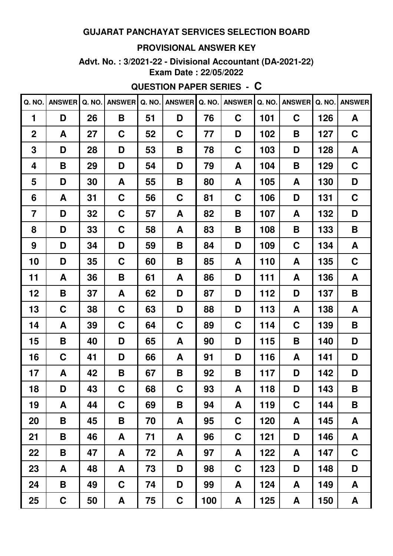#### **PROVISIONAL ANSWER KEY**

**Advt. No. : 3/2021-22 - Divisional Accountant (DA-2021-22) Exam Date : 22/05/2022**

# **QUESTION PAPER SERIES - C**

| Q. NO.         | <b>ANSWER</b> | Q. NO. | <b>ANSWER</b> | Q. NO. | <b>ANSWER</b> | Q. NO. | <b>ANSWER</b> | Q. NO. | <b>ANSWER</b> | Q. NO. | <b>ANSWER</b> |
|----------------|---------------|--------|---------------|--------|---------------|--------|---------------|--------|---------------|--------|---------------|
| 1              | D             | 26     | B             | 51     | D             | 76     | C             | 101    | $\mathbf C$   | 126    | A             |
| $\mathbf 2$    | A             | 27     | C             | 52     | C             | 77     | D             | 102    | B             | 127    | C             |
| 3              | D             | 28     | D             | 53     | B             | 78     | C             | 103    | D             | 128    | A             |
| 4              | B             | 29     | D             | 54     | D             | 79     | A             | 104    | B             | 129    | C             |
| 5              | D             | 30     | A             | 55     | B             | 80     | A             | 105    | A             | 130    | D             |
| 6              | A             | 31     | $\mathbf C$   | 56     | C             | 81     | C             | 106    | D             | 131    | C             |
| $\overline{7}$ | D             | 32     | C             | 57     | A             | 82     | B             | 107    | A             | 132    | D             |
| 8              | D             | 33     | C             | 58     | A             | 83     | B             | 108    | B             | 133    | B             |
| 9              | D             | 34     | D             | 59     | B             | 84     | D             | 109    | C             | 134    | A             |
| 10             | D             | 35     | C             | 60     | B             | 85     | A             | 110    | A             | 135    | C             |
| 11             | A             | 36     | B             | 61     | A             | 86     | D             | 111    | A             | 136    | A             |
| 12             | B             | 37     | A             | 62     | D             | 87     | D             | 112    | D             | 137    | B             |
| 13             | C             | 38     | C             | 63     | D             | 88     | D             | 113    | A             | 138    | A             |
| 14             | A             | 39     | C             | 64     | C             | 89     | C             | 114    | C             | 139    | B             |
| 15             | B             | 40     | D             | 65     | A             | 90     | D             | 115    | B             | 140    | D             |
| 16             | C             | 41     | D             | 66     | A             | 91     | D             | 116    | A             | 141    | D             |
| 17             | A             | 42     | B             | 67     | B             | 92     | Β             | 117    | D             | 142    | D             |
| 18             | D             | 43     | $\mathbf C$   | 68     | $\mathbf C$   | 93     | A             | 118    | D             | 143    | B             |
| 19             | A             | 44     | C             | 69     | B             | 94     | A             | 119    | $\mathbf C$   | 144    | B             |
| 20             | B             | 45     | B             | 70     | A             | 95     | C             | 120    | A             | 145    | A             |
| 21             | B             | 46     | A             | 71     | A             | 96     | $\mathbf C$   | 121    | D             | 146    | A             |
| 22             | B             | 47     | A             | 72     | A             | 97     | A             | 122    | A             | 147    | $\mathbf C$   |
| 23             | A             | 48     | A             | 73     | D             | 98     | $\mathbf C$   | 123    | D             | 148    | D             |
| 24             | B             | 49     | $\mathbf C$   | 74     | D             | 99     | A             | 124    | A             | 149    | A             |
| 25             | $\mathbf C$   | 50     | A             | 75     | $\mathbf C$   | 100    | A             | 125    | A             | 150    | $\mathsf{A}$  |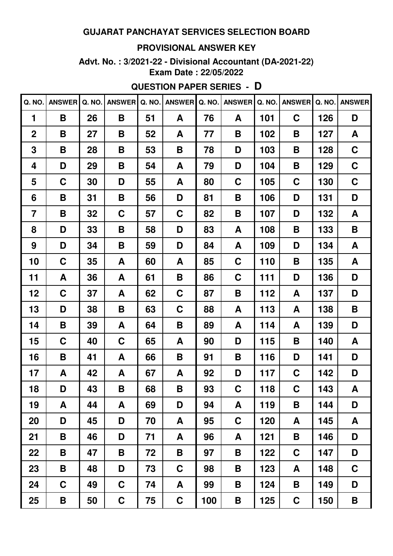#### **PROVISIONAL ANSWER KEY**

**Advt. No. : 3/2021-22 - Divisional Accountant (DA-2021-22) Exam Date : 22/05/2022**

# **QUESTION PAPER SERIES - D**

| Q. NO.         | <b>ANSWER</b> | Q. NO. | <b>ANSWER</b> | Q. NO. | <b>ANSWER</b> | Q. NO. | <b>ANSWER</b> | Q. NO. | <b>ANSWER</b> | Q. NO. | <b>ANSWER</b> |
|----------------|---------------|--------|---------------|--------|---------------|--------|---------------|--------|---------------|--------|---------------|
| 1              | B             | 26     | B             | 51     | A             | 76     | A             | 101    | $\mathbf C$   | 126    | D             |
| $\overline{2}$ | B             | 27     | B             | 52     | A             | 77     | B             | 102    | B             | 127    | A             |
| 3              | B             | 28     | Β             | 53     | B             | 78     | D             | 103    | B             | 128    | C             |
| 4              | D             | 29     | Β             | 54     | A             | 79     | D             | 104    | B             | 129    | C             |
| 5              | C             | 30     | D             | 55     | A             | 80     | C             | 105    | C             | 130    | C             |
| 6              | B             | 31     | B             | 56     | D             | 81     | B             | 106    | D             | 131    | D             |
| $\overline{7}$ | B             | 32     | $\mathbf C$   | 57     | C             | 82     | B             | 107    | D             | 132    | A             |
| 8              | D             | 33     | B             | 58     | D             | 83     | A             | 108    | B             | 133    | Β             |
| 9              | D             | 34     | Β             | 59     | D             | 84     | A             | 109    | D             | 134    | A             |
| 10             | C             | 35     | A             | 60     | A             | 85     | C             | 110    | B             | 135    | A             |
| 11             | A             | 36     | A             | 61     | Β             | 86     | C             | 111    | D             | 136    | D             |
| 12             | C             | 37     | A             | 62     | $\mathbf C$   | 87     | B             | 112    | A             | 137    | D             |
| 13             | D             | 38     | Β             | 63     | C             | 88     | A             | 113    | A             | 138    | Β             |
| 14             | Β             | 39     | A             | 64     | Β             | 89     | A             | 114    | A             | 139    | D             |
| 15             | C             | 40     | C             | 65     | A             | 90     | D             | 115    | B             | 140    | A             |
| 16             | B             | 41     | A             | 66     | B             | 91     | B             | 116    | D             | 141    | D             |
| 17             | A             | 42     | A             | 67     | A             | 92     | D             | 117    | C             | 142    | D             |
| 18             | D             | 43     | B             | 68     | Β             | 93     | $\mathbf C$   | 118    | $\mathbf C$   | 143    | A             |
| 19             | A             | 44     | A             | 69     | D             | 94     | A             | 119    | B             | 144    | D             |
| 20             | D             | 45     | D             | 70     | A             | 95     | $\mathbf C$   | 120    | A             | 145    | A             |
| 21             | B             | 46     | D             | 71     | A             | 96     | A             | 121    | B             | 146    | D             |
| 22             | B             | 47     | B             | 72     | B             | 97     | Β             | 122    | $\mathbf C$   | 147    | D             |
| 23             | B             | 48     | D             | 73     | $\mathbf C$   | 98     | Β             | 123    | A             | 148    | $\mathbf C$   |
| 24             | $\mathbf C$   | 49     | $\mathbf C$   | 74     | A             | 99     | Β             | 124    | B             | 149    | D             |
| 25             | B             | 50     | $\mathbf C$   | 75     | $\mathbf C$   | 100    | B             | 125    | $\mathbf C$   | 150    | B             |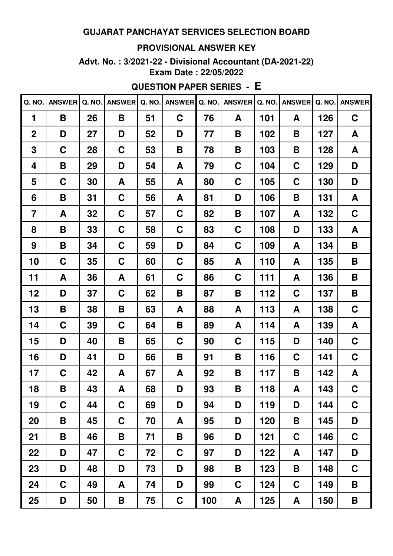#### **PROVISIONAL ANSWER KEY**

**Advt. No. : 3/2021-22 - Divisional Accountant (DA-2021-22) Exam Date : 22/05/2022**

## **QUESTION PAPER SERIES - E**

| Q. NO.         | <b>ANSWER</b> | Q. NO. | <b>ANSWER</b> | Q. NO. | <b>ANSWER</b> | Q. NO. | <b>ANSWER</b> | Q. NO. | <b>ANSWER</b> | Q. NO. | <b>ANSWER</b> |
|----------------|---------------|--------|---------------|--------|---------------|--------|---------------|--------|---------------|--------|---------------|
| 1              | B             | 26     | B             | 51     | $\mathbf C$   | 76     | A             | 101    | A             | 126    | C             |
| $\mathbf 2$    | D             | 27     | D             | 52     | D             | 77     | B             | 102    | B             | 127    | A             |
| 3              | C             | 28     | C             | 53     | B             | 78     | B             | 103    | B             | 128    | A             |
| 4              | B             | 29     | D             | 54     | A             | 79     | C             | 104    | C             | 129    | D             |
| 5              | C             | 30     | A             | 55     | A             | 80     | C             | 105    | C             | 130    | D             |
| 6              | B             | 31     | C             | 56     | A             | 81     | D             | 106    | B             | 131    | A             |
| $\overline{7}$ | A             | 32     | C             | 57     | C             | 82     | B             | 107    | A             | 132    | C             |
| 8              | B             | 33     | C             | 58     | C             | 83     | C             | 108    | D             | 133    | A             |
| 9              | B             | 34     | C             | 59     | D             | 84     | C             | 109    | A             | 134    | B             |
| 10             | C             | 35     | C             | 60     | C             | 85     | A             | 110    | A             | 135    | B             |
| 11             | A             | 36     | A             | 61     | C             | 86     | C             | 111    | A             | 136    | B             |
| 12             | D             | 37     | C             | 62     | B             | 87     | B             | 112    | C             | 137    | B             |
| 13             | B             | 38     | Β             | 63     | A             | 88     | A             | 113    | A             | 138    | C             |
| 14             | C             | 39     | C             | 64     | B             | 89     | A             | 114    | A             | 139    | A             |
| 15             | D             | 40     | B             | 65     | C             | 90     | C             | 115    | D             | 140    | C             |
| 16             | D             | 41     | D             | 66     | B             | 91     | Β             | 116    | C             | 141    | C             |
| 17             | C             | 42     | A             | 67     | A             | 92     | Β             | 117    | B             | 142    | A             |
| 18             | B             | 43     | A             | 68     | D             | 93     | B             | 118    | A             | 143    | $\mathbf C$   |
| 19             | C             | 44     | $\mathbf C$   | 69     | D             | 94     | D             | 119    | D             | 144    | $\mathbf C$   |
| 20             | B             | 45     | $\mathbf C$   | 70     | A             | 95     | D             | 120    | B             | 145    | D             |
| 21             | B             | 46     | B             | 71     | B             | 96     | D             | 121    | C             | 146    | $\mathbf C$   |
| 22             | D             | 47     | C             | 72     | $\mathbf C$   | 97     | D             | 122    | A             | 147    | D             |
| 23             | D             | 48     | D             | 73     | D             | 98     | Β             | 123    | B             | 148    | $\mathbf C$   |
| 24             | $\mathbf C$   | 49     | A             | 74     | D             | 99     | $\mathbf C$   | 124    | $\mathbf C$   | 149    | B             |
| 25             | D             | 50     | B             | 75     | $\mathbf C$   | 100    | A             | 125    | A             | 150    | Β             |